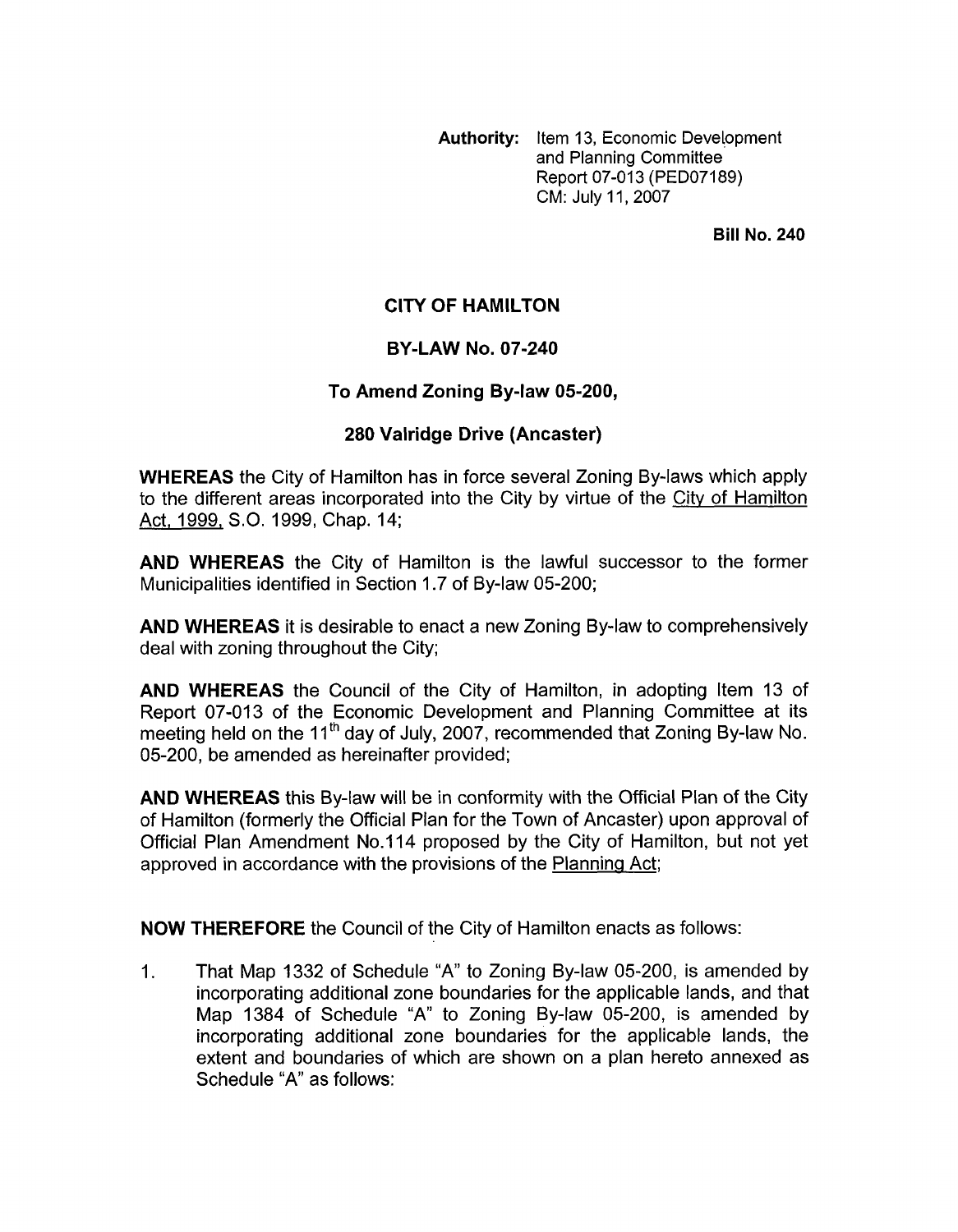**Authority:** Item 13, Economic Development and Planning Committee Report 07-013 (PED07189) CM: July 11,2007

**Bill No. 240** 

## **CITY OF HAMILTON**

## **BY-LAW NO. 07-240**

## **To Amend Zoning By-law 05-200,**

## **280 Valridge Drive (Ancaster)**

**WHEREAS** the City of Hamilton has in force several Zoning By-laws which apply to the different areas incorporated into the City by virtue of the City of Hamilton Act, 1999, S.O. 1999, Chap. 14;

**AND WHEREAS** the City of Hamilton is the lawful successor to the former Municipalities identified in Section 1.7 of By-law 05-200;

**AND WHEREAS** it is desirable to enact a new Zoning By-law to comprehensively deal with zoning throughout the City;

**AND WHEREAS** the Council of the City of Hamilton, in adopting Item 13 of Report 07-013 of the Economic Development and Planning Committee at its meeting held on the 11<sup>th</sup> day of July, 2007, recommended that Zoning By-law No. 05-200, be amended as hereinafter provided;

**AND WHEREAS** this By-law will be in conformity with the Official Plan of the City of Hamilton (formerly the Official Plan for the Town of Ancaster) upon approval of Official Plan Amendment No.114 proposed by the City of Hamilton, but not yet approved in accordance with the provisions of the Planning Act;

**NOW THEREFORE** the Council of the City of Hamilton enacts as follows:

1. That Map 1332 of Schedule "A" to Zoning By-law 05-200, is amended by incorporating additional zone boundaries for the applicable lands, and that Map 1384 of Schedule "A" to Zoning By-law 05-200, is amended by incorporating additional zone boundaries for the applicable lands, the extent and boundaries of which are shown on a plan hereto annexed as Schedule "A" as follows: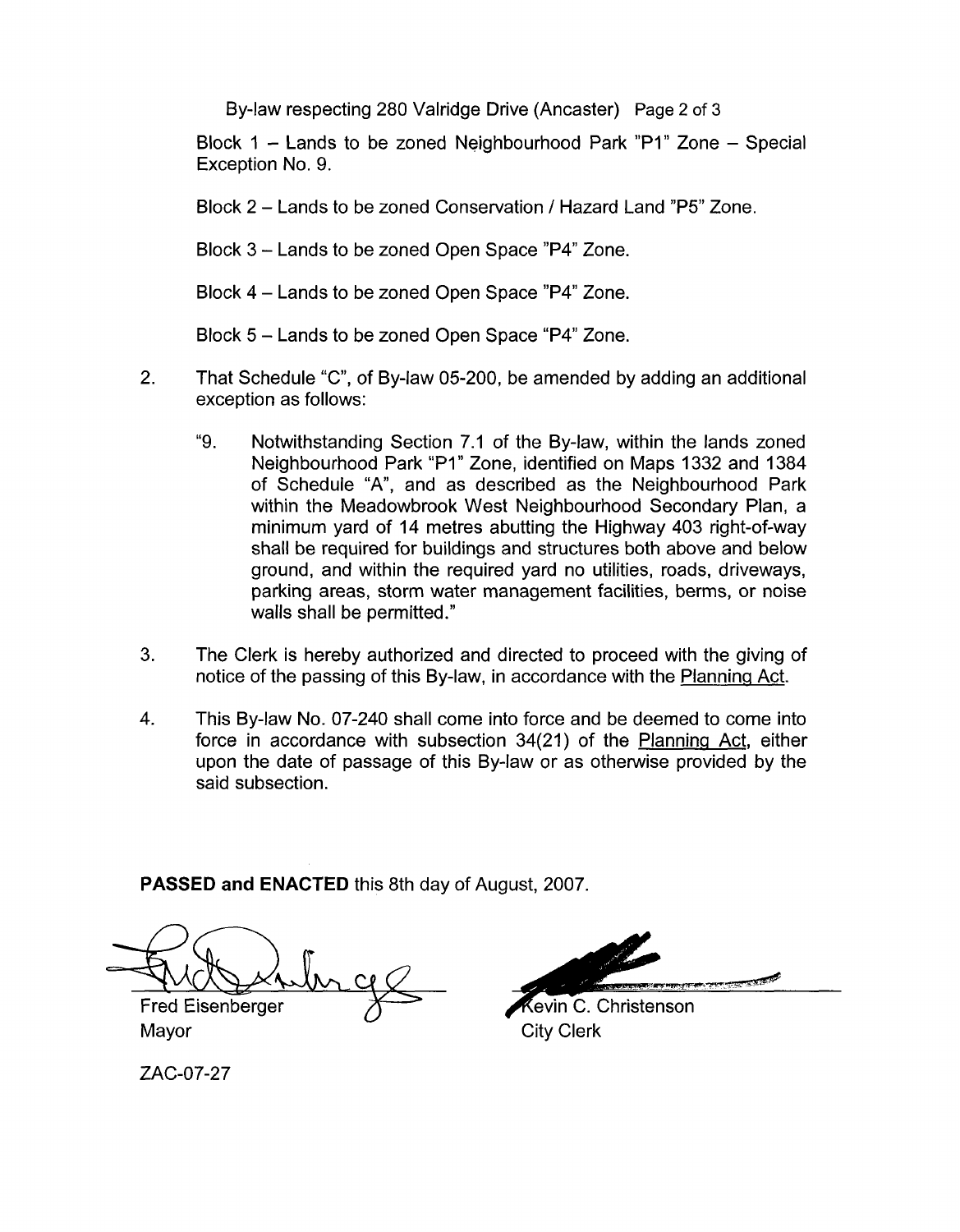By-law respecting 280 Valridge Drive (Ancaster) Page 2 of **3** 

Block 1 - Lands to be zoned Neighbourhood Park "P1" Zone - Special Exception No. 9.

Block 2 - Lands to be zoned Conservation / Hazard Land "P5" Zone.

Block 3 - Lands to be zoned Open Space "P4" Zone.

Block 4 - Lands to be zoned Open Space "P4" Zone.

Block 5 - Lands to be zoned Open Space "P4" Zone.

- 2. That Schedule "C", of By-law 05-200, be amended by adding an additional exception as follows:
	- "9. Notwithstanding Section 7.1 of the By-law, within the lands zoned Neighbourhood Park "PI" Zone, identified on Maps 1332 and 1384 of Schedule "A", and as described as the Neighbourhood Park within the Meadowbrook West Neighbourhood Secondary Plan, a minimum yard of 14 metres abutting the Highway 403 right-of-way shall be required for buildings and structures both above and below ground, and within the required yard no utilities, roads, driveways, parking areas, storm water management facilities, berms, or noise walls shall be permitted."
- 3. The Clerk is hereby authorized and directed to proceed with the giving of notice of the passing of this By-law, in accordance with the Planning Act.
- **4.** This By-law No. 07-240 shall come into force and be deemed to come into force in accordance with subsection 34(21) of the Planninq Act, either upon the date of passage of this By-law or as otherwise provided by the said subsection.

**PASSED and ENACTED** this 8th day of August, 2007.

**Fred Eisenberger**<br>Fred Eisenberger<br>Mayor

kevin C. Christenson **City Clerk** 

ZAC-07-27